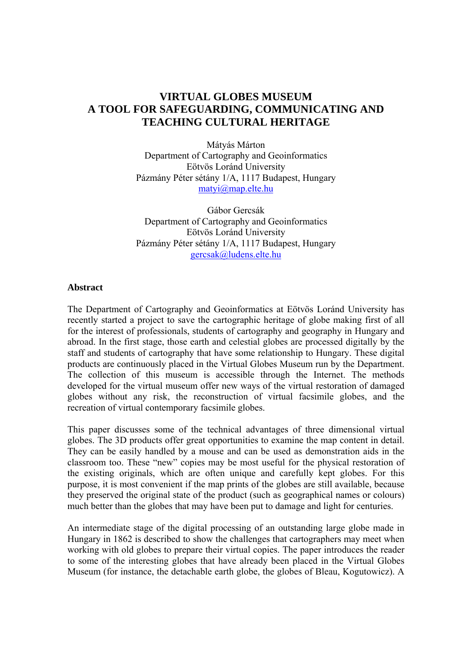# **VIRTUAL GLOBES MUSEUM A TOOL FOR SAFEGUARDING, COMMUNICATING AND TEACHING CULTURAL HERITAGE**

Mátyás Márton Department of Cartography and Geoinformatics Eötvös Loránd University Pázmány Péter sétány 1/A, 1117 Budapest, Hungary matyi@map.elte.hu

Gábor Gercsák Department of Cartography and Geoinformatics Eötvös Loránd University Pázmány Péter sétány 1/A, 1117 Budapest, Hungary gercsak@ludens.elte.hu

## **Abstract**

The Department of Cartography and Geoinformatics at Eötvös Loránd University has recently started a project to save the cartographic heritage of globe making first of all for the interest of professionals, students of cartography and geography in Hungary and abroad. In the first stage, those earth and celestial globes are processed digitally by the staff and students of cartography that have some relationship to Hungary. These digital products are continuously placed in the Virtual Globes Museum run by the Department. The collection of this museum is accessible through the Internet. The methods developed for the virtual museum offer new ways of the virtual restoration of damaged globes without any risk, the reconstruction of virtual facsimile globes, and the recreation of virtual contemporary facsimile globes.

This paper discusses some of the technical advantages of three dimensional virtual globes. The 3D products offer great opportunities to examine the map content in detail. They can be easily handled by a mouse and can be used as demonstration aids in the classroom too. These "new" copies may be most useful for the physical restoration of the existing originals, which are often unique and carefully kept globes. For this purpose, it is most convenient if the map prints of the globes are still available, because they preserved the original state of the product (such as geographical names or colours) much better than the globes that may have been put to damage and light for centuries.

An intermediate stage of the digital processing of an outstanding large globe made in Hungary in 1862 is described to show the challenges that cartographers may meet when working with old globes to prepare their virtual copies. The paper introduces the reader to some of the interesting globes that have already been placed in the Virtual Globes Museum (for instance, the detachable earth globe, the globes of Bleau, Kogutowicz). A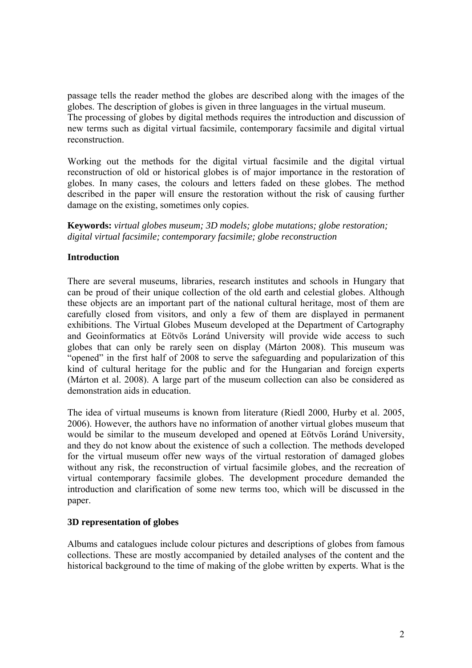passage tells the reader method the globes are described along with the images of the globes. The description of globes is given in three languages in the virtual museum. The processing of globes by digital methods requires the introduction and discussion of new terms such as digital virtual facsimile, contemporary facsimile and digital virtual reconstruction.

Working out the methods for the digital virtual facsimile and the digital virtual reconstruction of old or historical globes is of major importance in the restoration of globes. In many cases, the colours and letters faded on these globes. The method described in the paper will ensure the restoration without the risk of causing further damage on the existing, sometimes only copies.

**Keywords:** *virtual globes museum; 3D models; globe mutations; globe restoration; digital virtual facsimile; contemporary facsimile; globe reconstruction* 

# **Introduction**

There are several museums, libraries, research institutes and schools in Hungary that can be proud of their unique collection of the old earth and celestial globes. Although these objects are an important part of the national cultural heritage, most of them are carefully closed from visitors, and only a few of them are displayed in permanent exhibitions. The Virtual Globes Museum developed at the Department of Cartography and Geoinformatics at Eötvös Loránd University will provide wide access to such globes that can only be rarely seen on display (Márton 2008). This museum was "opened" in the first half of 2008 to serve the safeguarding and popularization of this kind of cultural heritage for the public and for the Hungarian and foreign experts (Márton et al. 2008). A large part of the museum collection can also be considered as demonstration aids in education.

The idea of virtual museums is known from literature (Riedl 2000, Hurby et al. 2005, 2006). However, the authors have no information of another virtual globes museum that would be similar to the museum developed and opened at Eötvös Loránd University, and they do not know about the existence of such a collection. The methods developed for the virtual museum offer new ways of the virtual restoration of damaged globes without any risk, the reconstruction of virtual facsimile globes, and the recreation of virtual contemporary facsimile globes. The development procedure demanded the introduction and clarification of some new terms too, which will be discussed in the paper.

## **3D representation of globes**

Albums and catalogues include colour pictures and descriptions of globes from famous collections. These are mostly accompanied by detailed analyses of the content and the historical background to the time of making of the globe written by experts. What is the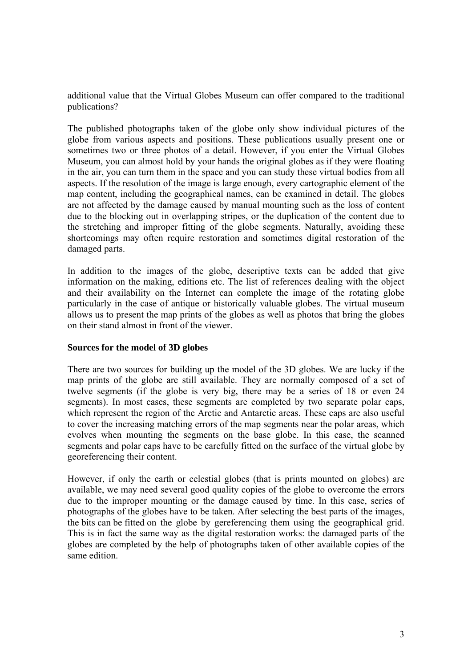additional value that the Virtual Globes Museum can offer compared to the traditional publications?

The published photographs taken of the globe only show individual pictures of the globe from various aspects and positions. These publications usually present one or sometimes two or three photos of a detail. However, if you enter the Virtual Globes Museum, you can almost hold by your hands the original globes as if they were floating in the air, you can turn them in the space and you can study these virtual bodies from all aspects. If the resolution of the image is large enough, every cartographic element of the map content, including the geographical names, can be examined in detail. The globes are not affected by the damage caused by manual mounting such as the loss of content due to the blocking out in overlapping stripes, or the duplication of the content due to the stretching and improper fitting of the globe segments. Naturally, avoiding these shortcomings may often require restoration and sometimes digital restoration of the damaged parts.

In addition to the images of the globe, descriptive texts can be added that give information on the making, editions etc. The list of references dealing with the object and their availability on the Internet can complete the image of the rotating globe particularly in the case of antique or historically valuable globes. The virtual museum allows us to present the map prints of the globes as well as photos that bring the globes on their stand almost in front of the viewer.

## **Sources for the model of 3D globes**

There are two sources for building up the model of the 3D globes. We are lucky if the map prints of the globe are still available. They are normally composed of a set of twelve segments (if the globe is very big, there may be a series of 18 or even 24 segments). In most cases, these segments are completed by two separate polar caps, which represent the region of the Arctic and Antarctic areas. These caps are also useful to cover the increasing matching errors of the map segments near the polar areas, which evolves when mounting the segments on the base globe. In this case, the scanned segments and polar caps have to be carefully fitted on the surface of the virtual globe by georeferencing their content.

However, if only the earth or celestial globes (that is prints mounted on globes) are available, we may need several good quality copies of the globe to overcome the errors due to the improper mounting or the damage caused by time. In this case, series of photographs of the globes have to be taken. After selecting the best parts of the images, the bits can be fitted on the globe by gereferencing them using the geographical grid. This is in fact the same way as the digital restoration works: the damaged parts of the globes are completed by the help of photographs taken of other available copies of the same edition.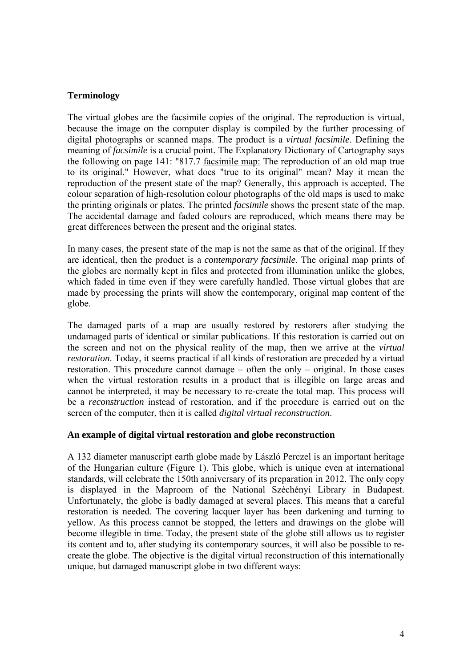## **Terminology**

The virtual globes are the facsimile copies of the original. The reproduction is virtual, because the image on the computer display is compiled by the further processing of digital photographs or scanned maps. The product is a *virtual facsimile*. Defining the meaning of *facsimile* is a crucial point. The Explanatory Dictionary of Cartography says the following on page 141: "817.7 facsimile map: The reproduction of an old map true to its original." However, what does "true to its original" mean? May it mean the reproduction of the present state of the map? Generally, this approach is accepted. The colour separation of high-resolution colour photographs of the old maps is used to make the printing originals or plates. The printed *facsimile* shows the present state of the map. The accidental damage and faded colours are reproduced, which means there may be great differences between the present and the original states.

In many cases, the present state of the map is not the same as that of the original. If they are identical, then the product is a *contemporary facsimile*. The original map prints of the globes are normally kept in files and protected from illumination unlike the globes, which faded in time even if they were carefully handled. Those virtual globes that are made by processing the prints will show the contemporary, original map content of the globe.

The damaged parts of a map are usually restored by restorers after studying the undamaged parts of identical or similar publications. If this restoration is carried out on the screen and not on the physical reality of the map, then we arrive at the *virtual restoration*. Today, it seems practical if all kinds of restoration are preceded by a virtual restoration. This procedure cannot damage – often the only – original. In those cases when the virtual restoration results in a product that is illegible on large areas and cannot be interpreted, it may be necessary to re-create the total map. This process will be a *reconstruction* instead of restoration, and if the procedure is carried out on the screen of the computer, then it is called *digital virtual reconstruction*.

## **An example of digital virtual restoration and globe reconstruction**

A 132 diameter manuscript earth globe made by László Perczel is an important heritage of the Hungarian culture (Figure 1). This globe, which is unique even at international standards, will celebrate the 150th anniversary of its preparation in 2012. The only copy is displayed in the Maproom of the National Széchényi Library in Budapest. Unfortunately, the globe is badly damaged at several places. This means that a careful restoration is needed. The covering lacquer layer has been darkening and turning to yellow. As this process cannot be stopped, the letters and drawings on the globe will become illegible in time. Today, the present state of the globe still allows us to register its content and to, after studying its contemporary sources, it will also be possible to recreate the globe. The objective is the digital virtual reconstruction of this internationally unique, but damaged manuscript globe in two different ways: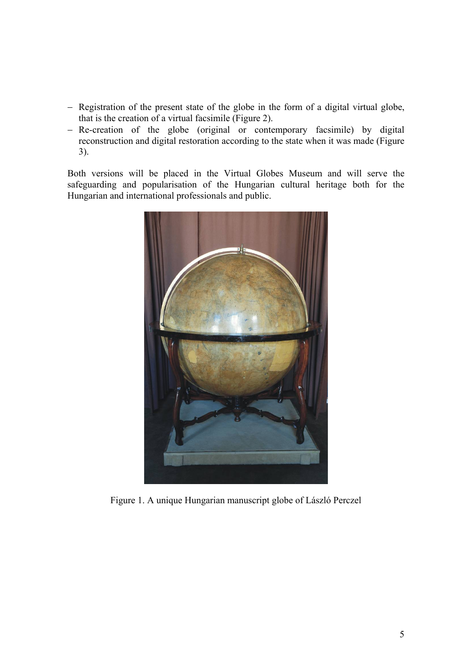- − Registration of the present state of the globe in the form of a digital virtual globe, that is the creation of a virtual facsimile (Figure 2).
- − Re-creation of the globe (original or contemporary facsimile) by digital reconstruction and digital restoration according to the state when it was made (Figure 3).

Both versions will be placed in the Virtual Globes Museum and will serve the safeguarding and popularisation of the Hungarian cultural heritage both for the Hungarian and international professionals and public.



Figure 1. A unique Hungarian manuscript globe of László Perczel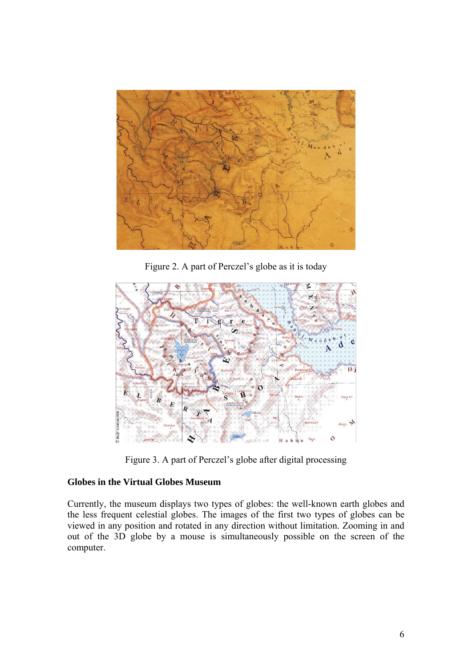

Figure 2. A part of Perczel's globe as it is today



Figure 3. A part of Perczel's globe after digital processing

# **Globes in the Virtual Globes Museum**

Currently, the museum displays two types of globes: the well-known earth globes and the less frequent celestial globes. The images of the first two types of globes can be viewed in any position and rotated in any direction without limitation. Zooming in and out of the 3D globe by a mouse is simultaneously possible on the screen of the computer.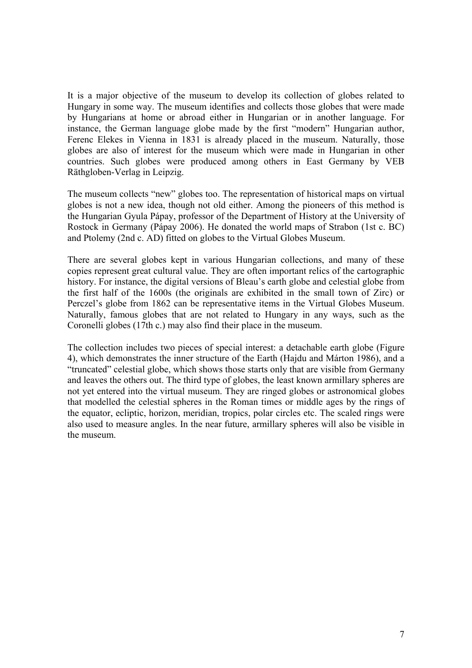It is a major objective of the museum to develop its collection of globes related to Hungary in some way. The museum identifies and collects those globes that were made by Hungarians at home or abroad either in Hungarian or in another language. For instance, the German language globe made by the first "modern" Hungarian author, Ferenc Elekes in Vienna in 1831 is already placed in the museum. Naturally, those globes are also of interest for the museum which were made in Hungarian in other countries. Such globes were produced among others in East Germany by VEB Räthgloben-Verlag in Leipzig.

The museum collects "new" globes too. The representation of historical maps on virtual globes is not a new idea, though not old either. Among the pioneers of this method is the Hungarian Gyula Pápay, professor of the Department of History at the University of Rostock in Germany (Pápay 2006). He donated the world maps of Strabon (1st c. BC) and Ptolemy (2nd c. AD) fitted on globes to the Virtual Globes Museum.

There are several globes kept in various Hungarian collections, and many of these copies represent great cultural value. They are often important relics of the cartographic history. For instance, the digital versions of Bleau's earth globe and celestial globe from the first half of the 1600s (the originals are exhibited in the small town of Zirc) or Perczel's globe from 1862 can be representative items in the Virtual Globes Museum. Naturally, famous globes that are not related to Hungary in any ways, such as the Coronelli globes (17th c.) may also find their place in the museum.

The collection includes two pieces of special interest: a detachable earth globe (Figure 4), which demonstrates the inner structure of the Earth (Hajdu and Márton 1986), and a "truncated" celestial globe, which shows those starts only that are visible from Germany and leaves the others out. The third type of globes, the least known armillary spheres are not yet entered into the virtual museum. They are ringed globes or astronomical globes that modelled the celestial spheres in the Roman times or middle ages by the rings of the equator, ecliptic, horizon, meridian, tropics, polar circles etc. The scaled rings were also used to measure angles. In the near future, armillary spheres will also be visible in the museum.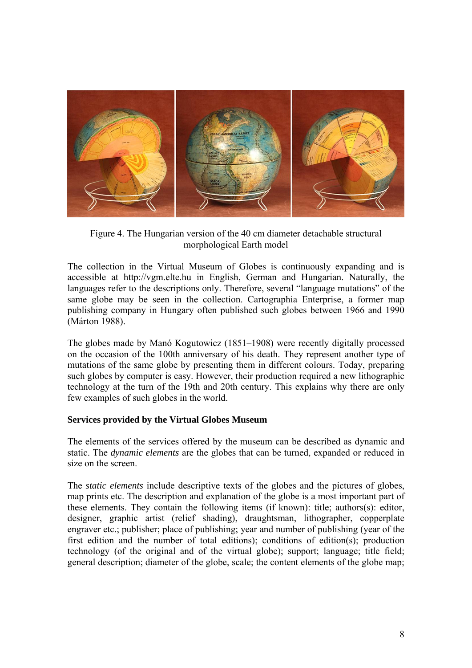

Figure 4. The Hungarian version of the 40 cm diameter detachable structural morphological Earth model

The collection in the Virtual Museum of Globes is continuously expanding and is accessible at http://vgm.elte.hu in English, German and Hungarian. Naturally, the languages refer to the descriptions only. Therefore, several "language mutations" of the same globe may be seen in the collection. Cartographia Enterprise, a former map publishing company in Hungary often published such globes between 1966 and 1990 (Márton 1988).

The globes made by Manó Kogutowicz (1851–1908) were recently digitally processed on the occasion of the 100th anniversary of his death. They represent another type of mutations of the same globe by presenting them in different colours. Today, preparing such globes by computer is easy. However, their production required a new lithographic technology at the turn of the 19th and 20th century. This explains why there are only few examples of such globes in the world.

## **Services provided by the Virtual Globes Museum**

The elements of the services offered by the museum can be described as dynamic and static. The *dynamic elements* are the globes that can be turned, expanded or reduced in size on the screen.

The *static elements* include descriptive texts of the globes and the pictures of globes, map prints etc. The description and explanation of the globe is a most important part of these elements. They contain the following items (if known): title; authors(s): editor, designer, graphic artist (relief shading), draughtsman, lithographer, copperplate engraver etc.; publisher; place of publishing; year and number of publishing (year of the first edition and the number of total editions); conditions of edition(s); production technology (of the original and of the virtual globe); support; language; title field; general description; diameter of the globe, scale; the content elements of the globe map;